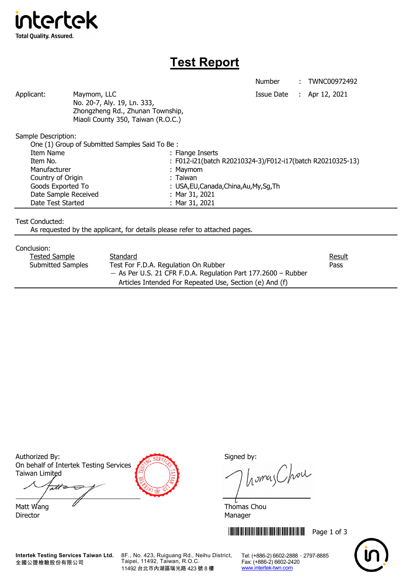

## **Test Report**

Number : TWNC00972492

Applicant: Maymom, LLC Maymon, LLC Applicant: Apr 12, 2021

 No. 20-7, Aly. 19, Ln. 333, Zhongzheng Rd., Zhunan Township, Miaoli County 350, Taiwan (R.O.C.)

Sample Description:

| One (1) Group of Submitted Samples Said To Be: |                                                            |
|------------------------------------------------|------------------------------------------------------------|
| Item Name                                      | : Flange Inserts                                           |
| Item No.                                       | : F012-i21(batch R20210324-3)/F012-i17(batch R20210325-13) |
| Manufacturer                                   | : Maymom                                                   |
| Country of Origin                              | : Taiwan                                                   |
| Goods Exported To                              | : USA, EU, Canada, China, Au, My, Sg, Th                   |
| Date Sample Received                           | : Mar $31, 2021$                                           |
| Date Test Started                              | : Mar 31, 2021                                             |
|                                                |                                                            |

Test Conducted:

As requested by the applicant, for details please refer to attached pages.

## Conclusion:

| Tested Sample     | Standard                                                        | <b>Result</b> |
|-------------------|-----------------------------------------------------------------|---------------|
| Submitted Samples | Test For F.D.A. Regulation On Rubber                            | Pass          |
|                   | $-$ As Per U.S. 21 CFR F.D.A. Regulation Part 177.2600 – Rubber |               |
|                   | Articles Intended For Repeated Use, Section (e) And (f)         |               |

Authorized By: Signed by: Signed by: On behalf of Intertek Testing Services Taiwan Limited

att Matt Wang  $\mathscr{U}$  and  $\mathscr{U}$  and  $\mathscr{V}$  and  $\mathscr{V}$  and  $\mathscr{V}$  and  $\mathscr{V}$  and  $\mathscr{V}$  and  $\mathscr{V}$  and  $\mathscr{V}$  and  $\mathscr{V}$  and  $\mathscr{V}$  and  $\mathscr{V}$  and  $\mathscr{V}$  and  $\mathscr{V}$  and  $\mathscr{V}$  and  $\mathscr{V}$  and  $\mathscr$ 

Director Manager

homas Chou

**THEFT THEFT THEFT THEFT THEFT THEFT THEFT THEFT THEFT THEFT THEFT THEFT THEFT** 



**Intertek Testing Services Taiwan Ltd.** 全國公證檢驗股份有限公司

8F., No. 423, Ruiguang Rd., Neihu District, Taipei, 11492, Taiwan, R.O.C. 11492 台北市內湖區瑞光路 423 號 8 樓

Tel: (+886-2) 6602-2888 · 2797-8885 Fax: (+886-2) 6602-2420 www.intertek-twn.com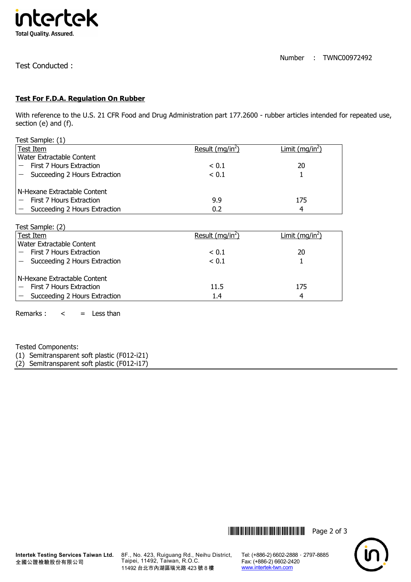

Number : TWNC00972492

Test Conducted :

## **Test For F.D.A. Regulation On Rubber**

With reference to the U.S. 21 CFR Food and Drug Administration part 177.2600 - rubber articles intended for repeated use, section (e) and (f).

| Test Sample: (1)              |                    |                             |
|-------------------------------|--------------------|-----------------------------|
| Test Item                     | Result $(mq/in^2)$ | Limit (mg/in <sup>2</sup> ) |
| Water Extractable Content     |                    |                             |
| First 7 Hours Extraction      | < 0.1              | 20                          |
| Succeeding 2 Hours Extraction | < 0.1              |                             |
| N-Hexane Extractable Content  |                    |                             |
| First 7 Hours Extraction      | 9.9                | 175                         |
| Succeeding 2 Hours Extraction | 0.2                | 4                           |

| Test Sample: (2)              |                    |                             |
|-------------------------------|--------------------|-----------------------------|
| Test Item                     | Result $(mq/in^2)$ | Limit (mg/in <sup>2</sup> ) |
| Water Extractable Content     |                    |                             |
| First 7 Hours Extraction      | < 0.1              | 20                          |
| Succeeding 2 Hours Extraction | < 0.1              |                             |
| N-Hexane Extractable Content  |                    |                             |
| First 7 Hours Extraction      | 11.5               | 175                         |
| Succeeding 2 Hours Extraction | 1.4                | 4                           |

Remarks :  $\lt$  = Less than

Tested Components:

(1) Semitransparent soft plastic (F012-i21)

(2) Semitransparent soft plastic (F012-i17)





8F., No. 423, Ruiguang Rd., Neihu District, Taipei, 11492, Taiwan, R.O.C. 11492 台北市內湖區瑞光路 423 號 8 樓

Tel: (+886-2) 6602-2888 · 2797-8885 Fax: (+886-2) 6602-2420 www.intertek-twn.com